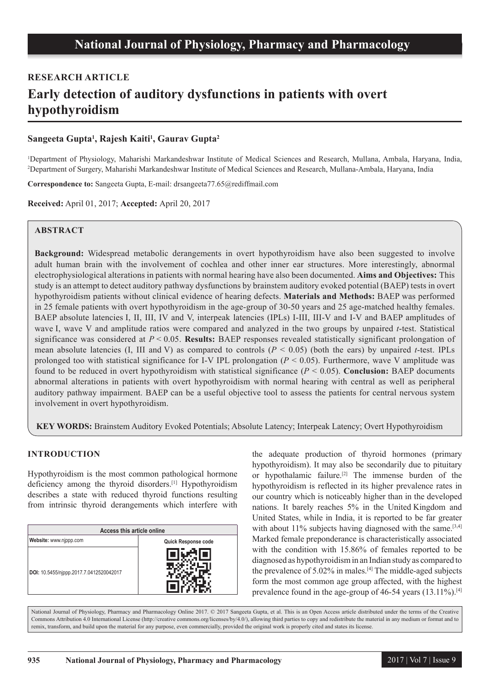# **RESEARCH ARTICLE**

# **Early detection of auditory dysfunctions in patients with overt hypothyroidism**

# **Sangeeta Gupta1 , Rajesh Kaiti1 , Gaurav Gupta2**

1 Department of Physiology, Maharishi Markandeshwar Institute of Medical Sciences and Research, Mullana, Ambala, Haryana, India, 2 Department of Surgery, Maharishi Markandeshwar Institute of Medical Sciences and Research, Mullana-Ambala, Haryana, India

**Correspondence to:** Sangeeta Gupta, E-mail: drsangeeta77.65@rediffmail.com

**Received:** April 01, 2017; **Accepted:** April 20, 2017

## **ABSTRACT**

**Background:** Widespread metabolic derangements in overt hypothyroidism have also been suggested to involve adult human brain with the involvement of cochlea and other inner ear structures. More interestingly, abnormal electrophysiological alterations in patients with normal hearing have also been documented. **Aims and Objectives:** This study is an attempt to detect auditory pathway dysfunctions by brainstem auditory evoked potential (BAEP) tests in overt hypothyroidism patients without clinical evidence of hearing defects. **Materials and Methods:** BAEP was performed in 25 female patients with overt hypothyroidism in the age-group of 30-50 years and 25 age-matched healthy females. BAEP absolute latencies I, II, III, IV and V, interpeak latencies (IPLs) I-III, III-V and I-V and BAEP amplitudes of wave I, wave V and amplitude ratios were compared and analyzed in the two groups by unpaired *t*-test. Statistical significance was considered at *P* < 0.05. **Results:** BAEP responses revealed statistically significant prolongation of mean absolute latencies (I, III and V) as compared to controls  $(P < 0.05)$  (both the ears) by unpaired *t*-test. IPLs prolonged too with statistical significance for I-V IPL prolongation  $(P < 0.05)$ . Furthermore, wave V amplitude was found to be reduced in overt hypothyroidism with statistical significance (*P* < 0.05). **Conclusion:** BAEP documents abnormal alterations in patients with overt hypothyroidism with normal hearing with central as well as peripheral auditory pathway impairment. BAEP can be a useful objective tool to assess the patients for central nervous system involvement in overt hypothyroidism.

**KEY WORDS:** Brainstem Auditory Evoked Potentials; Absolute Latency; Interpeak Latency; Overt Hypothyroidism

## **INTRODUCTION**

Hypothyroidism is the most common pathological hormone deficiency among the thyroid disorders.[1] Hypothyroidism describes a state with reduced thyroid functions resulting from intrinsic thyroid derangements which interfere with

| Access this article online              |                     |  |  |  |  |  |  |
|-----------------------------------------|---------------------|--|--|--|--|--|--|
| Website: www.njppp.com                  | Quick Response code |  |  |  |  |  |  |
| DOI: 10.5455/njppp.2017.7.0412520042017 |                     |  |  |  |  |  |  |

the adequate production of thyroid hormones (primary hypothyroidism). It may also be secondarily due to pituitary or hypothalamic failure.[2] The immense burden of the hypothyroidism is reflected in its higher prevalence rates in our country which is noticeably higher than in the developed nations. It barely reaches 5% in the United Kingdom and United States, while in India, it is reported to be far greater with about  $11\%$  subjects having diagnosed with the same.<sup>[3,4]</sup> Marked female preponderance is characteristically associated with the condition with 15.86% of females reported to be diagnosed as hypothyroidism in an Indian study as compared to the prevalence of 5.02% in males.<sup>[4]</sup> The middle-aged subjects form the most common age group affected, with the highest prevalence found in the age-group of 46-54 years (13.11%).<sup>[4]</sup>

National Journal of Physiology, Pharmacy and Pharmacology Online 2017. © 2017 Sangeeta Gupta, et al. This is an Open Access article distributed under the terms of the Creative Commons Attribution 4.0 International License (http://creative commons.org/licenses/by/4.0/), allowing third parties to copy and redistribute the material in any medium or format and to remix, transform, and build upon the material for any purpose, even commercially, provided the original work is properly cited and states its license.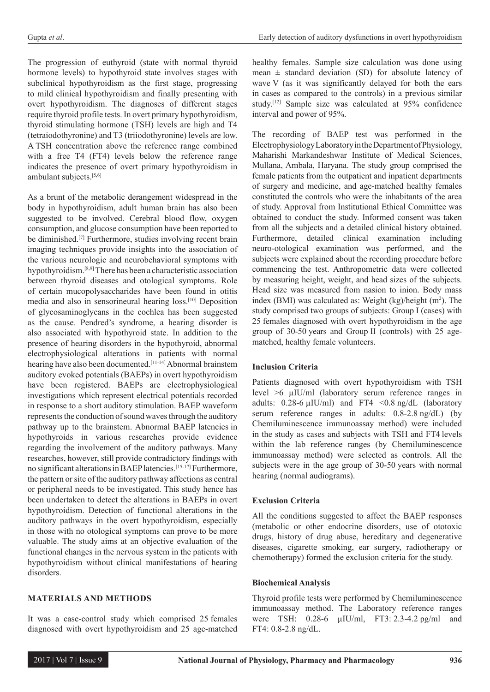The progression of euthyroid (state with normal thyroid hormone levels) to hypothyroid state involves stages with subclinical hypothyroidism as the first stage, progressing to mild clinical hypothyroidism and finally presenting with overt hypothyroidism. The diagnoses of different stages require thyroid profile tests. In overt primary hypothyroidism, thyroid stimulating hormone (TSH) levels are high and T4 (tetraiodothyronine) and T3 (triiodothyronine) levels are low. A TSH concentration above the reference range combined with a free T4 (FT4) levels below the reference range indicates the presence of overt primary hypothyroidism in ambulant subjects.[5,6]

As a brunt of the metabolic derangement widespread in the body in hypothyroidism, adult human brain has also been suggested to be involved. Cerebral blood flow, oxygen consumption, and glucose consumption have been reported to be diminished.<sup>[7]</sup> Furthermore, studies involving recent brain imaging techniques provide insights into the association of the various neurologic and neurobehavioral symptoms with hypothyroidism.[8,9] There has been a characteristic association between thyroid diseases and otological symptoms. Role of certain mucopolysaccharides have been found in otitis media and also in sensorineural hearing loss.[10] Deposition of glycosaminoglycans in the cochlea has been suggested as the cause. Pendred's syndrome, a hearing disorder is also associated with hypothyroid state. In addition to the presence of hearing disorders in the hypothyroid, abnormal electrophysiological alterations in patients with normal hearing have also been documented.[11-14] Abnormal brainstem auditory evoked potentials (BAEPs) in overt hypothyroidism have been registered. BAEPs are electrophysiological investigations which represent electrical potentials recorded in response to a short auditory stimulation. BAEP waveform represents the conduction of sound waves through the auditory pathway up to the brainstem. Abnormal BAEP latencies in hypothyroids in various researches provide evidence regarding the involvement of the auditory pathways. Many researches, however, still provide contradictory findings with no significant alterations in BAEP latencies.[15-17] Furthermore, the pattern or site of the auditory pathway affections as central or peripheral needs to be investigated. This study hence has been undertaken to detect the alterations in BAEPs in overt hypothyroidism. Detection of functional alterations in the auditory pathways in the overt hypothyroidism, especially in those with no otological symptoms can prove to be more valuable. The study aims at an objective evaluation of the functional changes in the nervous system in the patients with hypothyroidism without clinical manifestations of hearing disorders.

## **MATERIALS AND METHODS**

It was a case-control study which comprised 25 females diagnosed with overt hypothyroidism and 25 age-matched

healthy females. Sample size calculation was done using mean  $\pm$  standard deviation (SD) for absolute latency of wave V (as it was significantly delayed for both the ears in cases as compared to the controls) in a previous similar study.[12] Sample size was calculated at 95% confidence interval and power of 95%.

The recording of BAEP test was performed in the Electrophysiology Laboratory in the Department of Physiology, Maharishi Markandeshwar Institute of Medical Sciences, Mullana, Ambala, Haryana. The study group comprised the female patients from the outpatient and inpatient departments of surgery and medicine, and age-matched healthy females constituted the controls who were the inhabitants of the area of study. Approval from Institutional Ethical Committee was obtained to conduct the study. Informed consent was taken from all the subjects and a detailed clinical history obtained. Furthermore, detailed clinical examination including neuro-otological examination was performed, and the subjects were explained about the recording procedure before commencing the test. Anthropometric data were collected by measuring height, weight, and head sizes of the subjects. Head size was measured from nasion to inion. Body mass index (BMI) was calculated as: Weight  $(kg)/height(m^2)$ . The study comprised two groups of subjects: Group I (cases) with 25 females diagnosed with overt hypothyroidism in the age group of 30-50 years and Group II (controls) with 25 agematched, healthy female volunteers.

#### **Inclusion Criteria**

Patients diagnosed with overt hypothyroidism with TSH level >6 µIU/ml (laboratory serum reference ranges in adults:  $0.28-6 \mu$ IU/ml) and FT4 < 0.8 ng/dL (laboratory serum reference ranges in adults: 0.8-2.8 ng/dL) (by Chemiluminescence immunoassay method) were included in the study as cases and subjects with TSH and FT4 levels within the lab reference ranges (by Chemiluminescence immunoassay method) were selected as controls. All the subjects were in the age group of 30-50 years with normal hearing (normal audiograms).

## **Exclusion Criteria**

All the conditions suggested to affect the BAEP responses (metabolic or other endocrine disorders, use of ototoxic drugs, history of drug abuse, hereditary and degenerative diseases, cigarette smoking, ear surgery, radiotherapy or chemotherapy) formed the exclusion criteria for the study.

#### **Biochemical Analysis**

Thyroid profile tests were performed by Chemiluminescence immunoassay method. The Laboratory reference ranges were TSH: 0.28-6 µIU/ml, FT3: 2.3-4.2 pg/ml and FT4: 0.8-2.8 ng/dL.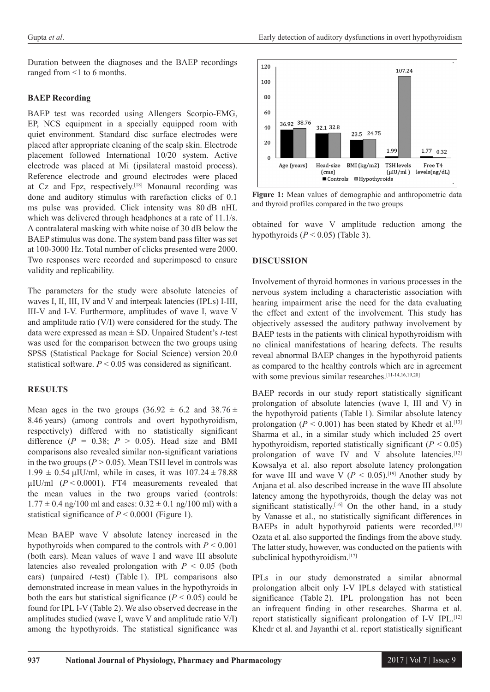Duration between the diagnoses and the BAEP recordings ranged from <1 to 6 months.

## **BAEP Recording**

BAEP test was recorded using Allengers Scorpio-EMG, EP, NCS equipment in a specially equipped room with quiet environment. Standard disc surface electrodes were placed after appropriate cleaning of the scalp skin. Electrode placement followed International 10/20 system. Active electrode was placed at Mi (ipsilateral mastoid process). Reference electrode and ground electrodes were placed at Cz and Fpz, respectively.[18] Monaural recording was done and auditory stimulus with rarefaction clicks of 0.1 ms pulse was provided. Click intensity was 80 dB nHL which was delivered through headphones at a rate of 11.1/s. A contralateral masking with white noise of 30 dB below the BAEP stimulus was done. The system band pass filter was set at 100-3000 Hz. Total number of clicks presented were 2000. Two responses were recorded and superimposed to ensure validity and replicability.

The parameters for the study were absolute latencies of waves I, II, III, IV and V and interpeak latencies (IPLs) I-III, III-V and I-V. Furthermore, amplitudes of wave I, wave V and amplitude ratio (V/I) were considered for the study. The data were expressed as mean ± SD. Unpaired Student's *t*-test was used for the comparison between the two groups using SPSS (Statistical Package for Social Science) version 20.0 statistical software.  $P \le 0.05$  was considered as significant.

# **RESULTS**

Mean ages in the two groups  $(36.92 \pm 6.2 \text{ and } 38.76 \pm 1.0 \text{)}$ 8.46 years) (among controls and overt hypothyroidism, respectively) differed with no statistically significant difference  $(P = 0.38; P > 0.05)$ . Head size and BMI comparisons also revealed similar non-significant variations in the two groups ( $P > 0.05$ ). Mean TSH level in controls was  $1.99 \pm 0.54 \,\mu$ IU/ml, while in cases, it was  $107.24 \pm 78.88$  $\mu$ IU/ml ( $P < 0.0001$ ). FT4 measurements revealed that the mean values in the two groups varied (controls:  $1.77 \pm 0.4$  ng/100 ml and cases:  $0.32 \pm 0.1$  ng/100 ml) with a statistical significance of  $P < 0.0001$  (Figure 1).

Mean BAEP wave V absolute latency increased in the hypothyroids when compared to the controls with  $P \leq 0.001$ (both ears). Mean values of wave I and wave III absolute latencies also revealed prolongation with *P* < 0.05 (both ears) (unpaired *t*-test) (Table 1). IPL comparisons also demonstrated increase in mean values in the hypothyroids in both the ears but statistical significance  $(P < 0.05)$  could be found for IPL I-V (Table 2). We also observed decrease in the amplitudes studied (wave I, wave V and amplitude ratio V/I) among the hypothyroids. The statistical significance was



**Figure 1:** Mean values of demographic and anthropometric data and thyroid profiles compared in the two groups

obtained for wave V amplitude reduction among the hypothyroids  $(P < 0.05)$  (Table 3).

# **DISCUSSION**

Involvement of thyroid hormones in various processes in the nervous system including a characteristic association with hearing impairment arise the need for the data evaluating the effect and extent of the involvement. This study has objectively assessed the auditory pathway involvement by BAEP tests in the patients with clinical hypothyroidism with no clinical manifestations of hearing defects. The results reveal abnormal BAEP changes in the hypothyroid patients as compared to the healthy controls which are in agreement with some previous similar researches.<sup>[11-14,16,19,20]</sup>

BAEP records in our study report statistically significant prolongation of absolute latencies (wave I, III and V) in the hypothyroid patients (Table 1). Similar absolute latency prolongation ( $P < 0.001$ ) has been stated by Khedr et al.<sup>[13]</sup> Sharma et al., in a similar study which included 25 overt hypothyroidism, reported statistically significant  $(P < 0.05)$ prolongation of wave IV and V absolute latencies.<sup>[12]</sup> Kowsalya et al. also report absolute latency prolongation for wave III and wave V ( $P < 0.05$ ).<sup>[19]</sup> Another study by Anjana et al. also described increase in the wave III absolute latency among the hypothyroids, though the delay was not significant statistically.<sup>[16]</sup> On the other hand, in a study by Vanasse et al., no statistically significant differences in BAEPs in adult hypothyroid patients were recorded.<sup>[15]</sup> Ozata et al. also supported the findings from the above study. The latter study, however, was conducted on the patients with subclinical hypothyroidism.<sup>[17]</sup>

IPLs in our study demonstrated a similar abnormal prolongation albeit only I-V IPLs delayed with statistical significance (Table 2). IPL prolongation has not been an infrequent finding in other researches. Sharma et al. report statistically significant prolongation of I-V IPL.<sup>[12]</sup> Khedr et al. and Jayanthi et al. report statistically significant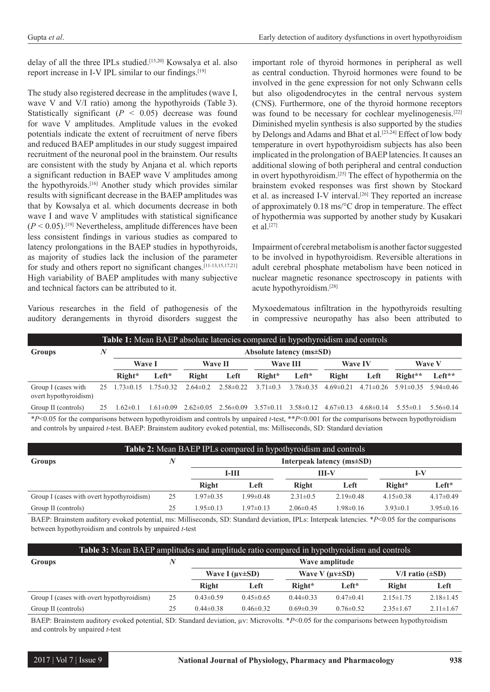delay of all the three IPLs studied.<sup>[13,20]</sup> Kowsalya et al. also report increase in I-V IPL similar to our findings.<sup>[19]</sup>

The study also registered decrease in the amplitudes (wave I, wave V and V/I ratio) among the hypothyroids (Table 3). Statistically significant  $(P < 0.05)$  decrease was found for wave V amplitudes. Amplitude values in the evoked potentials indicate the extent of recruitment of nerve fibers and reduced BAEP amplitudes in our study suggest impaired recruitment of the neuronal pool in the brainstem. Our results are consistent with the study by Anjana et al. which reports a significant reduction in BAEP wave V amplitudes among the hypothyroids.[16] Another study which provides similar results with significant decrease in the BAEP amplitudes was that by Kowsalya et al. which documents decrease in both wave I and wave V amplitudes with statistical significance  $(P < 0.05)$ .<sup>[19]</sup> Nevertheless, amplitude differences have been less consistent findings in various studies as compared to latency prolongations in the BAEP studies in hypothyroids, as majority of studies lack the inclusion of the parameter for study and others report no significant changes.[11-13,15,17,21] High variability of BAEP amplitudes with many subjective and technical factors can be attributed to it.

Various researches in the field of pathogenesis of the auditory derangements in thyroid disorders suggest the

important role of thyroid hormones in peripheral as well as central conduction. Thyroid hormones were found to be involved in the gene expression for not only Schwann cells but also oligodendrocytes in the central nervous system (CNS). Furthermore, one of the thyroid hormone receptors was found to be necessary for cochlear myelinogenesis.<sup>[22]</sup> Diminished myelin synthesis is also supported by the studies by Delongs and Adams and Bhat et al.<sup>[23,24]</sup> Effect of low body temperature in overt hypothyroidism subjects has also been implicated in the prolongation of BAEP latencies. It causes an additional slowing of both peripheral and central conduction in overt hypothyroidism.[25] The effect of hypothermia on the brainstem evoked responses was first shown by Stockard et al. as increased I-V interval.<sup>[26]</sup> They reported an increase of approximately 0.18 ms/°C drop in temperature. The effect of hypothermia was supported by another study by Kusakari et al.<sup>[27]</sup>

Impairment of cerebral metabolism is another factor suggested to be involved in hypothyroidism. Reversible alterations in adult cerebral phosphate metabolism have been noticed in nuclear magnetic resonance spectroscopy in patients with acute hypothyroidism.[28]

Myxoedematous infiltration in the hypothyroids resulting in compressive neuropathy has also been attributed to

|                                              |   | <b>Table 1:</b> Mean BAEP absolute latencies compared in hypothyroidism and controls |                 |                                 |                                   |                |                 |                 |                 |                                 |               |
|----------------------------------------------|---|--------------------------------------------------------------------------------------|-----------------|---------------------------------|-----------------------------------|----------------|-----------------|-----------------|-----------------|---------------------------------|---------------|
| <b>Groups</b>                                | N | Absolute latency $(ms \pm SD)$                                                       |                 |                                 |                                   |                |                 |                 |                 |                                 |               |
|                                              |   |                                                                                      | <b>Wave I</b>   |                                 | <b>Wave II</b><br><b>Wave III</b> |                | <b>Wave IV</b>  |                 | <b>Wave V</b>   |                                 |               |
|                                              |   | Right*                                                                               | $Left*$         | Right                           | Left                              | Right*         | Left*           | Right           | Left            | Right**                         | $Left**$      |
| Group I (cases with<br>overt hypothyroidism) |   | $25 \quad 1.73 \pm 0.15$                                                             | $1.75 \pm 0.32$ | $2.64 \pm 0.2$                  | $2.58 \pm 0.22$                   | $3.71 \pm 0.3$ | $3.78\pm0.35$   | $4.69 \pm 0.21$ | $4.71 \pm 0.26$ | $5.91 \pm 0.35$ $5.94 \pm 0.46$ |               |
| Group II (controls)                          |   | $1.62 \pm 0.1$                                                                       | $1.61 \pm 0.09$ | $2.62 \pm 0.05$ $2.56 \pm 0.09$ |                                   | $3.57\pm0.11$  | $3.58 \pm 0.12$ | $4.67 \pm 0.13$ | $4.68\pm0.14$   | $5.55\pm0.1$                    | $5.56\pm0.14$ |

\**P*<0.05 for the comparisons between hypothyroidism and controls by unpaired *t*-test, \*\**P*<0.001 for the comparisons between hypothyroidism and controls by unpaired *t*-test. BAEP: Brainstem auditory evoked potential, ms: Milliseconds, SD: Standard deviation

| <b>Table 2:</b> Mean BAEP IPLs compared in hypothyroidism and controls |    |                                 |                 |                |                 |                 |                 |  |  |
|------------------------------------------------------------------------|----|---------------------------------|-----------------|----------------|-----------------|-----------------|-----------------|--|--|
| Groups                                                                 | N  | Interpeak latency $(ms \pm SD)$ |                 |                |                 |                 |                 |  |  |
|                                                                        |    | $I-III$<br><b>III-V</b>         |                 |                | I-V             |                 |                 |  |  |
|                                                                        |    | Right                           | Left            | Right          | Left            | Right*          | $Left*$         |  |  |
| Group I (cases with overt hypothyroidism)                              | 25 | $1.97\pm0.35$                   | $1.99 \pm 0.48$ | $2.31 \pm 0.5$ | $2.19 \pm 0.48$ | $4.15 \pm 0.38$ | $4.17\pm0.49$   |  |  |
| Group II (controls)                                                    | 25 | $1.95 \pm 0.13$                 | $1.97 \pm 0.13$ | $2.06\pm0.45$  | $1.98 \pm 0.16$ | $3.93\pm0.1$    | $3.95 \pm 0.16$ |  |  |

BAEP: Brainstem auditory evoked potential, ms: Milliseconds, SD: Standard deviation, IPLs: Interpeak latencies. \**P*<0.05 for the comparisons between hypothyroidism and controls by unpaired *t*-test

| Table 3: Mean BAEP amplitudes and amplitude ratio compared in hypothyroidism and controls |    |                         |                 |                 |                         |                        |                 |  |  |
|-------------------------------------------------------------------------------------------|----|-------------------------|-----------------|-----------------|-------------------------|------------------------|-----------------|--|--|
| Groups                                                                                    | N  | Wave amplitude          |                 |                 |                         |                        |                 |  |  |
|                                                                                           |    | Wave I $(\mu v \pm SD)$ |                 |                 | Wave $V$ ( $uv\pm SD$ ) | $V/I$ ratio $(\pm SD)$ |                 |  |  |
|                                                                                           |    | Right                   | Left            | Right*          | $Left*$                 | <b>Right</b>           | Left            |  |  |
| Group I (cases with overt hypothyroidism)                                                 | 25 | $0.43\pm0.59$           | $0.45\pm0.65$   | $0.44\pm 0.33$  | $0.47\pm0.41$           | $2.15 \pm 1.75$        | $2.18 \pm 1.45$ |  |  |
| Group II (controls)                                                                       | 25 | $0.44\pm0.38$           | $0.46 \pm 0.32$ | $0.69 \pm 0.39$ | $0.76 \pm 0.52$         | $2.35 \pm 1.67$        | $2.11 \pm 1.67$ |  |  |

BAEP: Brainstem auditory evoked potential, SD: Standard deviation,  $\mu$ v: Microvolts. \**P*<0.05 for the comparisons between hypothyroidism and controls by unpaired *t*-test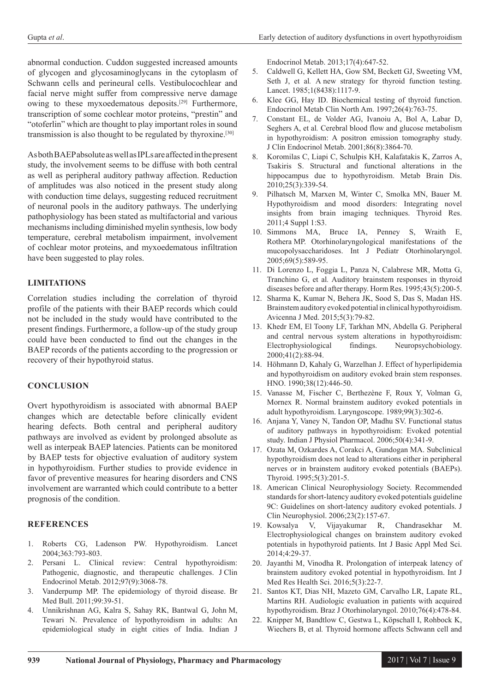abnormal conduction. Cuddon suggested increased amounts of glycogen and glycosaminoglycans in the cytoplasm of Schwann cells and perineural cells. Vestibulocochlear and facial nerve might suffer from compressive nerve damage owing to these myxoedematous deposits.[29] Furthermore, transcription of some cochlear motor proteins, "prestin" and "otoferlin" which are thought to play important roles in sound transmission is also thought to be regulated by thyroxine.[30]

As both BAEP absolute as well as IPLs are affected in the present study, the involvement seems to be diffuse with both central as well as peripheral auditory pathway affection. Reduction of amplitudes was also noticed in the present study along with conduction time delays, suggesting reduced recruitment of neuronal pools in the auditory pathways. The underlying pathophysiology has been stated as multifactorial and various mechanisms including diminished myelin synthesis, low body temperature, cerebral metabolism impairment, involvement of cochlear motor proteins, and myxoedematous infiltration have been suggested to play roles.

# **LIMITATIONS**

Correlation studies including the correlation of thyroid profile of the patients with their BAEP records which could not be included in the study would have contributed to the present findings. Furthermore, a follow-up of the study group could have been conducted to find out the changes in the BAEP records of the patients according to the progression or recovery of their hypothyroid status.

# **CONCLUSION**

Overt hypothyroidism is associated with abnormal BAEP changes which are detectable before clinically evident hearing defects. Both central and peripheral auditory pathways are involved as evident by prolonged absolute as well as interpeak BAEP latencies. Patients can be monitored by BAEP tests for objective evaluation of auditory system in hypothyroidism. Further studies to provide evidence in favor of preventive measures for hearing disorders and CNS involvement are warranted which could contribute to a better prognosis of the condition.

## **REFERENCES**

- 1. Roberts CG, Ladenson PW. Hypothyroidism. Lancet 2004;363:793-803.
- 2. Persani L. Clinical review: Central hypothyroidism: Pathogenic, diagnostic, and therapeutic challenges. J Clin Endocrinol Metab. 2012;97(9):3068-78.
- 3. Vanderpump MP. The epidemiology of thyroid disease. Br Med Bull. 2011;99:39-51.
- 4. Unnikrishnan AG, Kalra S, Sahay RK, Bantwal G, John M, Tewari N. Prevalence of hypothyroidism in adults: An epidemiological study in eight cities of India. Indian J

Endocrinol Metab. 2013;17(4):647-52.

- 5. Caldwell G, Kellett HA, Gow SM, Beckett GJ, Sweeting VM, Seth J, et al*.* A new strategy for thyroid function testing. Lancet. 1985;1(8438):1117-9.
- 6. Klee GG, Hay ID. Biochemical testing of thyroid function. Endocrinol Metab Clin North Am. 1997;26(4):763-75.
- 7. Constant EL, de Volder AG, Ivanoiu A, Bol A, Labar D, Seghers A, et al*.* Cerebral blood flow and glucose metabolism in hypothyroidism: A positron emission tomography study. J Clin Endocrinol Metab. 2001;86(8):3864-70.
- 8. Koromilas C, Liapi C, Schulpis KH, Kalafatakis K, Zarros A, Tsakiris S. Structural and functional alterations in the hippocampus due to hypothyroidism. Metab Brain Dis. 2010;25(3):339-54.
- 9. Pilhatsch M, Marxen M, Winter C, Smolka MN, Bauer M. Hypothyroidism and mood disorders: Integrating novel insights from brain imaging techniques. Thyroid Res. 2011;4 Suppl 1:S3.
- 10. Simmons MA, Bruce IA, Penney S, Wraith E, Rothera MP. Otorhinolaryngological manifestations of the mucopolysaccharidoses. Int J Pediatr Otorhinolaryngol. 2005;69(5):589-95.
- 11. Di Lorenzo L, Foggia L, Panza N, Calabrese MR, Motta G, Tranchino G, et al*.* Auditory brainstem responses in thyroid diseases before and after therapy. Horm Res. 1995;43(5):200-5.
- 12. Sharma K, Kumar N, Behera JK, Sood S, Das S, Madan HS. Brainstem auditory evoked potential in clinical hypothyroidism. Avicenna J Med. 2015;5(3):79-82.
- 13. Khedr EM, El Toony LF, Tarkhan MN, Abdella G. Peripheral and central nervous system alterations in hypothyroidism: Electrophysiological findings. Neuropsychobiology. 2000;41(2):88-94.
- 14. Höhmann D, Kahaly G, Warzelhan J. Effect of hyperlipidemia and hypothyroidism on auditory evoked brain stem responses. HNO. 1990;38(12):446-50.
- 15. Vanasse M, Fischer C, Berthezène F, Roux Y, Volman G, Mornex R. Normal brainstem auditory evoked potentials in adult hypothyroidism. Laryngoscope. 1989;99(3):302-6.
- 16. Anjana Y, Vaney N, Tandon OP, Madhu SV. Functional status of auditory pathways in hypothyroidism: Evoked potential study. Indian J Physiol Pharmacol. 2006;50(4):341-9.
- 17. Ozata M, Ozkardes A, Corakci A, Gundogan MA. Subclinical hypothyroidism does not lead to alterations either in peripheral nerves or in brainstem auditory evoked potentials (BAEPs). Thyroid. 1995;5(3):201-5.
- 18. American Clinical Neurophysiology Society. Recommended standards for short-latency auditory evoked potentials guideline 9C: Guidelines on short-latency auditory evoked potentials. J Clin Neurophysiol. 2006;23(2):157-67.
- 19. Kowsalya V, Vijayakumar R, Chandrasekhar M. Electrophysiological changes on brainstem auditory evoked potentials in hypothyroid patients. Int J Basic Appl Med Sci. 2014;4:29-37.
- 20. Jayanthi M, Vinodha R. Prolongation of interpeak latency of brainstem auditory evoked potential in hypothyroidism. Int J Med Res Health Sci. 2016;5(3):22-7.
- 21. Santos KT, Dias NH, Mazeto GM, Carvalho LR, Lapate RL, Martins RH. Audiologic evaluation in patients with acquired hypothyroidism. Braz J Otorhinolaryngol. 2010;76(4):478-84.
- 22. Knipper M, Bandtlow C, Gestwa L, Köpschall I, Rohbock K, Wiechers B, et al*.* Thyroid hormone affects Schwann cell and